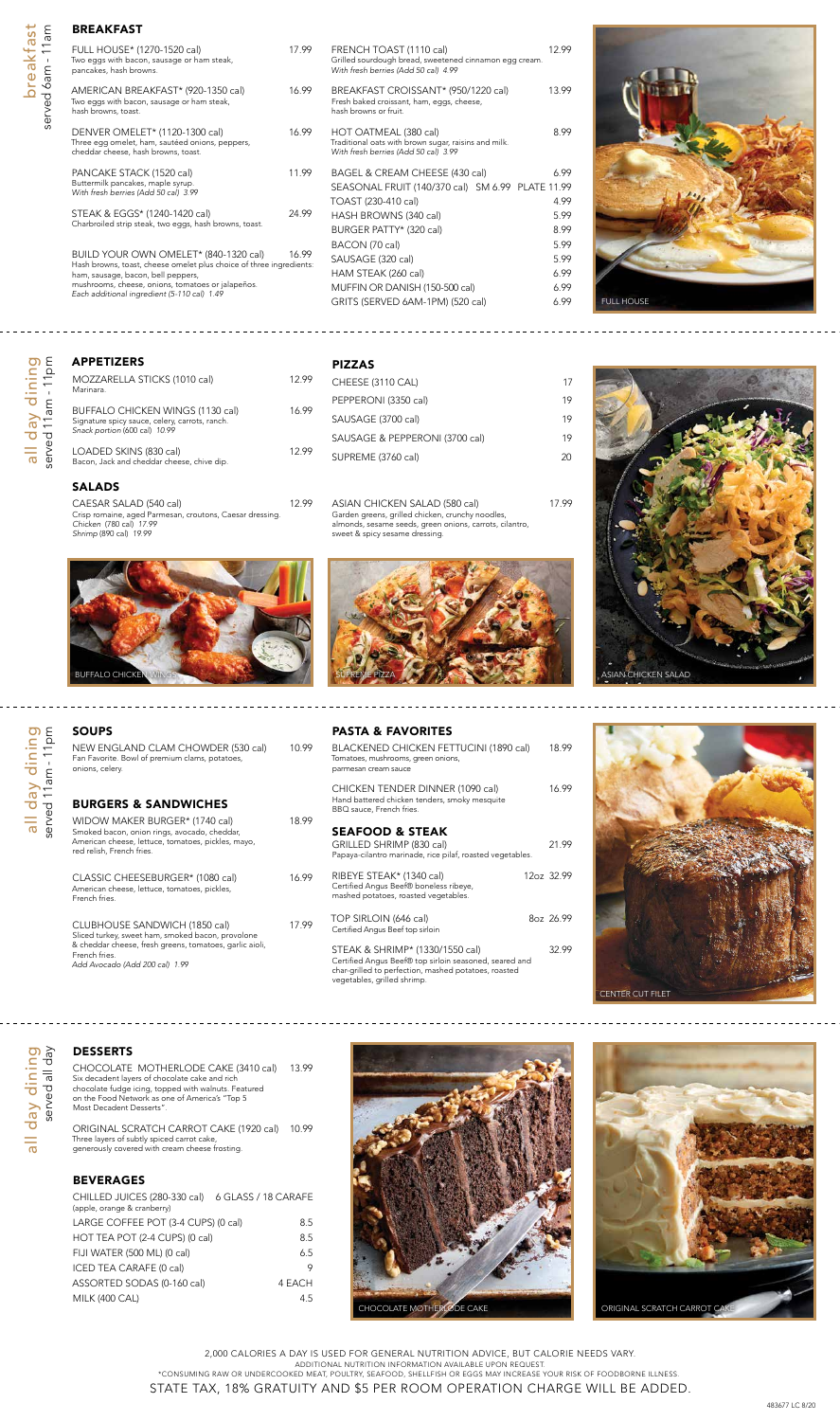breakfast

breakfast

served 6am - 11am

served 6am - 11am

| FULL HOUSE* (1270-1520 cal)<br>Two eggs with bacon, sausage or ham steak,<br>pancakes, hash browns.                                                                                                                                                    | 17.99 | FRENCH TOAST (1110 cal)<br>Grilled sourdough bread, sweetened cinnamon egg cream.<br>With fresh berries (Add 50 cal) 4.99        | 12.99                                |
|--------------------------------------------------------------------------------------------------------------------------------------------------------------------------------------------------------------------------------------------------------|-------|----------------------------------------------------------------------------------------------------------------------------------|--------------------------------------|
| AMERICAN BREAKFAST* (920-1350 cal)<br>Two eggs with bacon, sausage or ham steak,<br>hash browns, toast.                                                                                                                                                | 16.99 | BREAKFAST CROISSANT* (950/1220 cal)<br>Fresh baked croissant, ham, eggs, cheese,<br>hash browns or fruit.                        | 13.99                                |
| DENVER OMELET* (1120-1300 cal)<br>Three egg omelet, ham, sautéed onions, peppers,<br>cheddar cheese, hash browns, toast.                                                                                                                               | 16.99 | HOT OATMEAL (380 cal)<br>Traditional oats with brown sugar, raisins and milk.<br>With fresh berries (Add 50 cal) 3.99            | 8.99                                 |
| PANCAKE STACK (1520 cal)<br>Buttermilk pancakes, maple syrup.<br>With fresh berries (Add 50 cal) 3.99                                                                                                                                                  | 11.99 | BAGEL & CREAM CHEESE (430 cal)<br>SEASONAL FRUIT (140/370 cal) SM 6.99 PLATE 11.99<br>TOAST (230-410 cal)                        | 6.99<br>4.99                         |
| STEAK & EGGS* (1240-1420 cal)<br>Charbroiled strip steak, two eggs, hash browns, toast.                                                                                                                                                                | 24.99 | HASH BROWNS (340 cal)<br>BURGER PATTY* (320 cal)                                                                                 | 5.99<br>8.99                         |
| BUILD YOUR OWN OMELET* (840-1320 cal)<br>Hash browns, toast, cheese omelet plus choice of three ingredients:<br>ham, sausage, bacon, bell peppers,<br>mushrooms, cheese, onions, tomatoes or jalapeños.<br>Each additional ingredient (5-110 cal) 1.49 | 16.99 | BACON (70 cal)<br>SAUSAGE (320 cal)<br>HAM STEAK (260 cal)<br>MUFFIN OR DANISH (150-500 cal)<br>GRITS (SERVED 6AM-1PM) (520 cal) | 5.99<br>5.99<br>6.99<br>6.99<br>6.99 |
|                                                                                                                                                                                                                                                        |       |                                                                                                                                  |                                      |

# all day dining<br>served 11am - 11pm all day dining served 11am - 11pm

NEW ENGLAND CLAM CHOWDER (530 cal) 10.99 Fan Favorite. Bowl of premium clams, potatoes, onions, celery.

WIDOW MAKER BURGER\* (1740 cal) 18.99 Smoked bacon, onion rings, avocado, cheddar, American cheese, lettuce, tomatoes, pickles, mayo, red relish, French fries.

CLASSIC CHEESEBURGER\* (1080 cal) 16.99 American cheese, lettuce, tomatoes, pickles, French fries.

#### CLUBHOUSE SANDWICH (1850 cal) 17.99

| 1      | ٤           |
|--------|-------------|
|        | ı<br>٤<br>ᢛ |
|        | Óφ          |
| D<br>r | 2<br>_<br>თ |

# SOUPS

BURGERS & SANDWICHES

BLACKENED CHICKEN FETTUCINI (1890 cal) 18.99 Tomatoes, mushrooms, green onions, parmesan cream sauce

Sliced turkey, sweet ham, smoked bacon, provolone & cheddar cheese, fresh greens, tomatoes, garlic aioli, French fries. *Add Avocado (Add 200 cal) 1.99*

STEAK & SHRIMP\* (1330/1550 cal) 32.99 Certified Angus Beef® top sirloin seasoned, seared and char-grilled to perfection, mashed potatoes, roasted vegetables, grilled shrimp.

#### DESSERTS

CAESAR SALAD (540 cal) 12.99 Crisp romaine, aged Parmesan, croutons, Caesar dressing. *Chicken* (780 cal) *17.99 Shrimp* (890 cal) *19.99*

CHOCOLATE MOTHERLODE CAKE (3410 cal) 13.99 Six decadent layers of chocolate cake and rich chocolate fudge icing, topped with walnuts. Featured on the Food Network as one of America's "Top 5 Most Decadent Desserts".

ASIAN CHICKEN SALAD (580 cal) 17.99 Garden greens, grilled chicken, crunchy noodles, almonds, sesame seeds, green onions, carrots, cilantro, sweet & spicy sesame dressing.

ORIGINAL SCRATCH CARROT CAKE (1920 cal) 10.99 Three layers of subtly spiced carrot cake, generously covered with cream cheese frosting.

#### BEVERAGES

| (apple, orange & cranberry)                |
|--------------------------------------------|
| LARGE COFFEE POT (3-4 CUPS) (0 cal)<br>8.5 |
| HOT TEA POT (2-4 CUPS) (0 cal)<br>8.5      |
| FIJI WATER (500 ML) (0 cal)<br>6.5         |
| ICED TEA CARAFE (0 cal)<br>9               |
| ASSORTED SODAS (0-160 cal)<br>4 EACH       |
| <b>MILK (400 CAL)</b><br>45                |

2,000 CALORIES A DAY IS USED FOR GENERAL NUTRITION ADVICE, BUT CALORIE NEEDS VARY. ADDITIONAL NUTRITION INFORMATION AVAILABLE UPON REQUEST. \*CONSUMING RAW OR UNDERCOOKED MEAT, POULTRY, SEAFOOD, SHELLFISH OR EGGS MAY INCREASE YOUR RISK OF FOODBORNE ILLNESS.

STATE TAX, 18% GRATUITY AND \$5 PER ROOM OPERATION CHARGE WILL BE ADDED.

#### APPETIZERS

| MOZZARELLA STICKS (1010 cal)<br>Marinara.                                                                           | 12.99 |
|---------------------------------------------------------------------------------------------------------------------|-------|
| BUFFALO CHICKEN WINGS (1130 cal)<br>Signature spicy sauce, celery, carrots, ranch.<br>Snack portion (600 cal) 10.99 | 16.99 |
| LOADED SKINS (830 cal)<br>Bacon, Jack and cheddar cheese, chive dip.                                                | 1299  |

#### PIZZAS

| '.99 | CHEESE (3110 CAL)              | 17 |
|------|--------------------------------|----|
| , 99 | PEPPERONI (3350 cal)           | 19 |
|      | SAUSAGE (3700 cal)             | 19 |
| '.99 | SAUSAGE & PEPPERONI (3700 cal) | 19 |
|      | SUPREME (3760 cal)             | 20 |

#### PASTA & FAVORITES

CHICKEN TENDER DINNER (1090 cal) 16.99 Hand battered chicken tenders, smoky mesquite

BBQ sauce, French fries.

### SEAFOOD & STEAK

GRILLED SHRIMP (830 cal) 21.99 Papaya-cilantro marinade, rice pilaf, roasted vegetables.

RIBEYE STEAK\* (1340 cal) 12oz 32.99 Certified Angus Beef® boneless ribeye, mashed potatoes, roasted vegetables. TOP SIRLOIN (646 cal) 8oz 26.99 Certified Angus Beef top sirloin















### BREAKFAST

#### SALADS